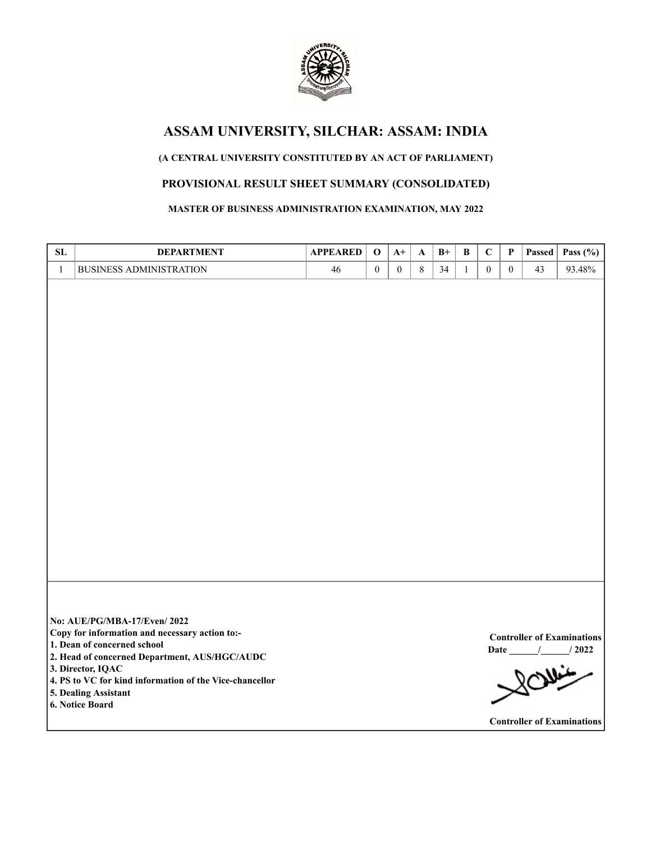

## **(A CENTRAL UNIVERSITY CONSTITUTED BY AN ACT OF PARLIAMENT)**

# **PROVISIONAL RESULT SHEET SUMMARY (CONSOLIDATED)**

**MASTER OF BUSINESS ADMINISTRATION EXAMINATION, MAY 2022**

| <b>SL</b>    | <b>DEPARTMENT</b>                                                                                                                                                                                                                                                                        | <b>APPEARED</b> | $\mathbf 0$      | $A+$             | A       | $B+$ | B            | $\mathbf C$      | $\mathbf P$      | Passed | Pass $(\% )$                                                                               |
|--------------|------------------------------------------------------------------------------------------------------------------------------------------------------------------------------------------------------------------------------------------------------------------------------------------|-----------------|------------------|------------------|---------|------|--------------|------------------|------------------|--------|--------------------------------------------------------------------------------------------|
| $\mathbf{1}$ | <b>BUSINESS ADMINISTRATION</b>                                                                                                                                                                                                                                                           | 46              | $\boldsymbol{0}$ | $\boldsymbol{0}$ | $\,8\,$ | 34   | $\mathbf{1}$ | $\boldsymbol{0}$ | $\boldsymbol{0}$ | 43     | 93.48%                                                                                     |
|              |                                                                                                                                                                                                                                                                                          |                 |                  |                  |         |      |              |                  |                  |        |                                                                                            |
|              | No: AUE/PG/MBA-17/Even/2022<br>Copy for information and necessary action to:-<br>1. Dean of concerned school<br>2. Head of concerned Department, AUS/HGC/AUDC<br>3. Director, IQAC<br>4. PS to VC for kind information of the Vice-chancellor<br>5. Dealing Assistant<br>6. Notice Board |                 |                  |                  |         |      |              |                  |                  |        | <b>Controller of Examinations</b><br>$\frac{1}{2022}$<br><b>Controller of Examinations</b> |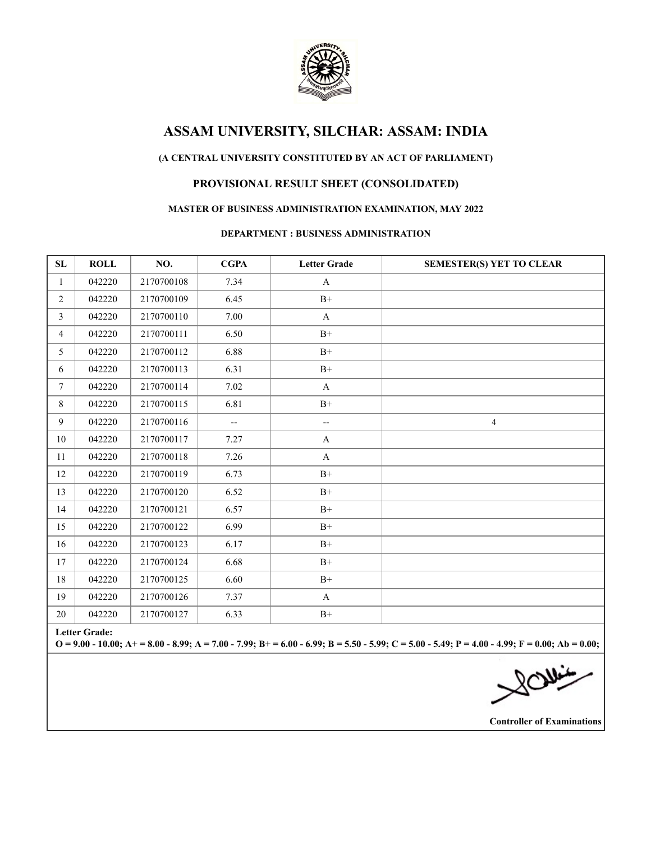

## **(A CENTRAL UNIVERSITY CONSTITUTED BY AN ACT OF PARLIAMENT)**

# **PROVISIONAL RESULT SHEET (CONSOLIDATED)**

#### **MASTER OF BUSINESS ADMINISTRATION EXAMINATION, MAY 2022**

#### **DEPARTMENT : BUSINESS ADMINISTRATION**

| SL                                                                                                                                                                        | <b>ROLL</b> | NO.        | <b>CGPA</b>              | <b>Letter Grade</b>                                 | <b>SEMESTER(S) YET TO CLEAR</b> |  |  |
|---------------------------------------------------------------------------------------------------------------------------------------------------------------------------|-------------|------------|--------------------------|-----------------------------------------------------|---------------------------------|--|--|
| $\mathbf{1}$                                                                                                                                                              | 042220      | 2170700108 | 7.34                     | $\mathbf{A}$                                        |                                 |  |  |
| $\overline{2}$                                                                                                                                                            | 042220      | 2170700109 | 6.45                     | $\mathrm{B}^{+}$                                    |                                 |  |  |
| $\mathfrak{Z}$                                                                                                                                                            | 042220      | 2170700110 | 7.00                     | $\mathbf{A}$                                        |                                 |  |  |
| $\overline{4}$                                                                                                                                                            | 042220      | 2170700111 | 6.50                     | $B+$                                                |                                 |  |  |
| 5                                                                                                                                                                         | 042220      | 2170700112 | 6.88                     | $B+$                                                |                                 |  |  |
| 6                                                                                                                                                                         | 042220      | 2170700113 | 6.31                     | $B+$                                                |                                 |  |  |
| $7\overline{ }$                                                                                                                                                           | 042220      | 2170700114 | 7.02                     | $\mathbf{A}$                                        |                                 |  |  |
| 8                                                                                                                                                                         | 042220      | 2170700115 | 6.81                     | $B+$                                                |                                 |  |  |
| 9                                                                                                                                                                         | 042220      | 2170700116 | $\overline{\phantom{a}}$ | $\hspace{0.05cm} -\hspace{0.05cm} -\hspace{0.05cm}$ | $\overline{4}$                  |  |  |
| 10                                                                                                                                                                        | 042220      | 2170700117 | 7.27                     | A                                                   |                                 |  |  |
| 11                                                                                                                                                                        | 042220      | 2170700118 | 7.26                     | $\mathbf{A}$                                        |                                 |  |  |
| 12                                                                                                                                                                        | 042220      | 2170700119 | 6.73                     | $B+$                                                |                                 |  |  |
| 13                                                                                                                                                                        | 042220      | 2170700120 | 6.52                     | $B+$                                                |                                 |  |  |
| 14                                                                                                                                                                        | 042220      | 2170700121 | 6.57                     | $B+$                                                |                                 |  |  |
| 15                                                                                                                                                                        | 042220      | 2170700122 | 6.99                     | $B+$                                                |                                 |  |  |
| 16                                                                                                                                                                        | 042220      | 2170700123 | 6.17                     | $B+$                                                |                                 |  |  |
| 17                                                                                                                                                                        | 042220      | 2170700124 | 6.68                     | $B+$                                                |                                 |  |  |
| 18                                                                                                                                                                        | 042220      | 2170700125 | 6.60                     | $B+$                                                |                                 |  |  |
| 19                                                                                                                                                                        | 042220      | 2170700126 | 7.37                     | $\mathbf{A}$                                        |                                 |  |  |
| 20                                                                                                                                                                        | 042220      | 2170700127 | 6.33                     | $B+$                                                |                                 |  |  |
| <b>Letter Grade:</b><br>$Q = 9.00 - 10.00$ ; A+ = 8.00 - 8.99; A = 7.00 - 7.99; B+ = 6.00 - 6.99; B = 5.50 - 5.99; C = 5.00 - 5.49; P = 4.00 - 4.99; F = 0.00; Ab = 0.00; |             |            |                          |                                                     |                                 |  |  |
|                                                                                                                                                                           |             |            |                          |                                                     | $\frac{1}{\sqrt{2}}$            |  |  |

**Controller of Examinations**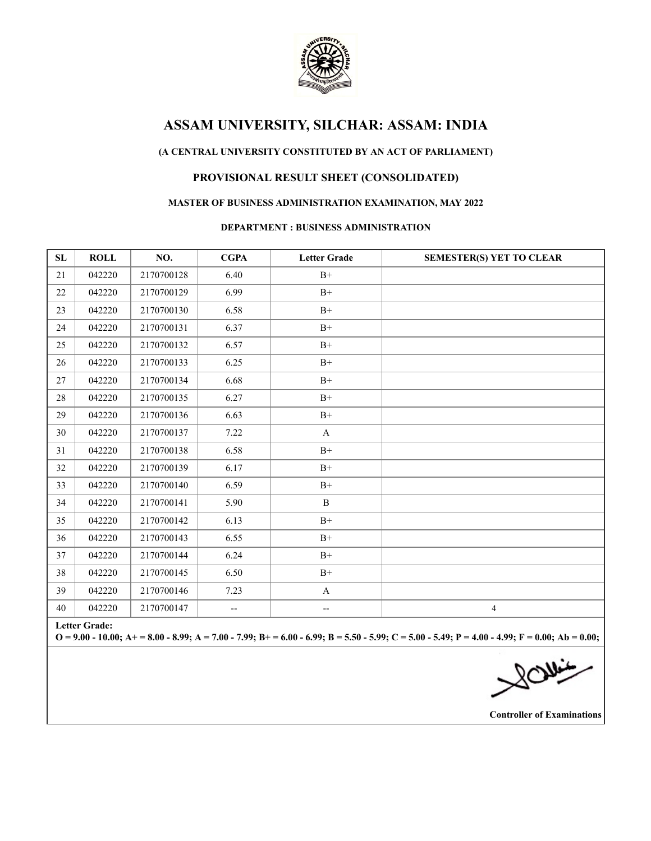

### **(A CENTRAL UNIVERSITY CONSTITUTED BY AN ACT OF PARLIAMENT)**

## **PROVISIONAL RESULT SHEET (CONSOLIDATED)**

### **MASTER OF BUSINESS ADMINISTRATION EXAMINATION, MAY 2022**

#### **DEPARTMENT : BUSINESS ADMINISTRATION**

| ${\bf SL}$                                                                                                                                                                | <b>ROLL</b> | NO.        | <b>CGPA</b> | <b>Letter Grade</b>                                 | <b>SEMESTER(S) YET TO CLEAR</b> |  |
|---------------------------------------------------------------------------------------------------------------------------------------------------------------------------|-------------|------------|-------------|-----------------------------------------------------|---------------------------------|--|
| 21                                                                                                                                                                        | 042220      | 2170700128 | 6.40        | $B+$                                                |                                 |  |
| 22                                                                                                                                                                        | 042220      | 2170700129 | 6.99        | $B+$                                                |                                 |  |
| 23                                                                                                                                                                        | 042220      | 2170700130 | 6.58        | $B+$                                                |                                 |  |
| 24                                                                                                                                                                        | 042220      | 2170700131 | 6.37        | $B+$                                                |                                 |  |
| 25                                                                                                                                                                        | 042220      | 2170700132 | 6.57        | $B+$                                                |                                 |  |
| 26                                                                                                                                                                        | 042220      | 2170700133 | 6.25        | $B+$                                                |                                 |  |
| 27                                                                                                                                                                        | 042220      | 2170700134 | 6.68        | $B+$                                                |                                 |  |
| 28                                                                                                                                                                        | 042220      | 2170700135 | 6.27        | $B+$                                                |                                 |  |
| 29                                                                                                                                                                        | 042220      | 2170700136 | 6.63        | $B+$                                                |                                 |  |
| 30                                                                                                                                                                        | 042220      | 2170700137 | 7.22        | $\mathbf{A}$                                        |                                 |  |
| 31                                                                                                                                                                        | 042220      | 2170700138 | 6.58        | $B+$                                                |                                 |  |
| 32                                                                                                                                                                        | 042220      | 2170700139 | 6.17        | $B+$                                                |                                 |  |
| 33                                                                                                                                                                        | 042220      | 2170700140 | 6.59        | $B+$                                                |                                 |  |
| 34                                                                                                                                                                        | 042220      | 2170700141 | 5.90        | $\, {\bf B}$                                        |                                 |  |
| 35                                                                                                                                                                        | 042220      | 2170700142 | 6.13        | $B+$                                                |                                 |  |
| 36                                                                                                                                                                        | 042220      | 2170700143 | 6.55        | $B+$                                                |                                 |  |
| 37                                                                                                                                                                        | 042220      | 2170700144 | 6.24        | $B+$                                                |                                 |  |
| 38                                                                                                                                                                        | 042220      | 2170700145 | 6.50        | $B+$                                                |                                 |  |
| 39                                                                                                                                                                        | 042220      | 2170700146 | 7.23        | $\mathbf{A}$                                        |                                 |  |
| 40                                                                                                                                                                        | 042220      | 2170700147 | --          | $\hspace{0.05cm} -\hspace{0.05cm} -\hspace{0.05cm}$ | $\overline{4}$                  |  |
| <b>Letter Grade:</b><br>$Q = 9.00 - 10.00$ ; A+ = 8.00 - 8.99; A = 7.00 - 7.99; B+ = 6.00 - 6.99; B = 5.50 - 5.99; C = 5.00 - 5.49; P = 4.00 - 4.99; F = 0.00; Ab = 0.00; |             |            |             |                                                     |                                 |  |
|                                                                                                                                                                           |             |            |             |                                                     | $\frac{1}{\sqrt{2}}$            |  |

**Controller of Examinations**